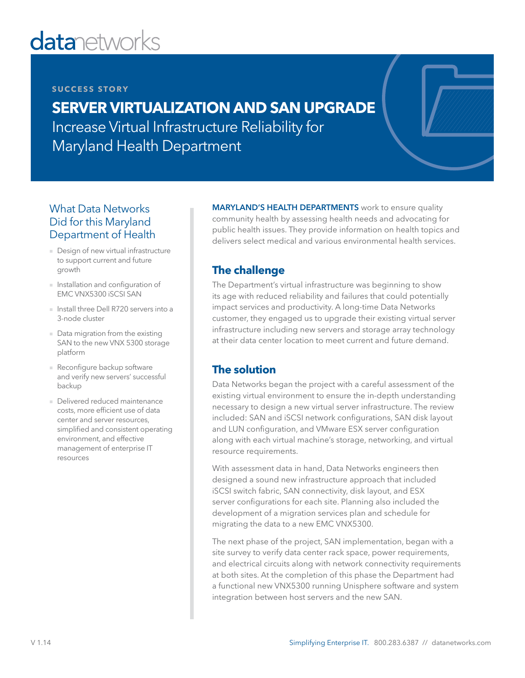# **datanetworks**

#### **SUCCESS STORY**

# **SERVER VIRTUALIZATION AND SAN UPGRADE**

Increase Virtual Infrastructure Reliability for Maryland Health Department

## What Data Networks Did for this Maryland Department of Health

- Design of new virtual infrastructure to support current and future growth
- Installation and configuration of EMC VNX5300 iSCSI SAN
- Install three Dell R720 servers into a 3-node cluster
- Data migration from the existing SAN to the new VNX 5300 storage platform
- Reconfigure backup software and verify new servers' successful backup
- Delivered reduced maintenance costs, more efficient use of data center and server resources, simplified and consistent operating environment, and effective management of enterprise IT resources

MARYLAND'S HEALTH DEPARTMENTS work to ensure quality community health by assessing health needs and advocating for public health issues. They provide information on health topics and delivers select medical and various environmental health services.

# **The challenge**

The Department's virtual infrastructure was beginning to show its age with reduced reliability and failures that could potentially impact services and productivity. A long-time Data Networks customer, they engaged us to upgrade their existing virtual server infrastructure including new servers and storage array technology at their data center location to meet current and future demand.

### **The solution**

Data Networks began the project with a careful assessment of the existing virtual environment to ensure the in-depth understanding necessary to design a new virtual server infrastructure. The review included: SAN and iSCSI network configurations, SAN disk layout and LUN configuration, and VMware ESX server configuration along with each virtual machine's storage, networking, and virtual resource requirements.

With assessment data in hand, Data Networks engineers then designed a sound new infrastructure approach that included iSCSI switch fabric, SAN connectivity, disk layout, and ESX server configurations for each site. Planning also included the development of a migration services plan and schedule for migrating the data to a new EMC VNX5300.

The next phase of the project, SAN implementation, began with a site survey to verify data center rack space, power requirements, and electrical circuits along with network connectivity requirements at both sites. At the completion of this phase the Department had a functional new VNX5300 running Unisphere software and system integration between host servers and the new SAN.